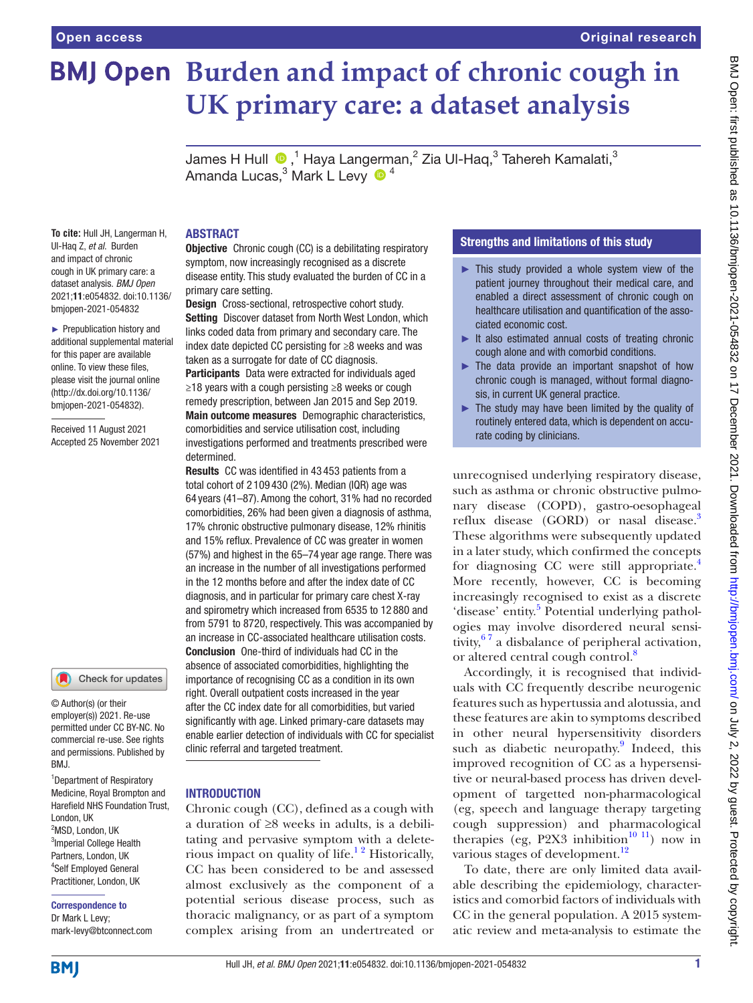# **BMJ Open** Burden and impact of chronic cough in **UK primary care: a dataset analysis**

JamesH Hull  $\textcolor{blue}{\bullet}$ ,<sup>1</sup> Haya Langerman,<sup>2</sup> Zia Ul-Haq,<sup>3</sup> Tahereh Kamalati,<sup>3</sup> Amanda Lucas, $^3$  Mark L Levy  $\,\,\Phi^{\,\,4}\,$ 

#### ABSTRACT

**To cite:** Hull JH, Langerman H, Ul-Haq Z, *et al*. Burden and impact of chronic cough in UK primary care: a dataset analysis. *BMJ Open* 2021;11:e054832. doi:10.1136/ bmjopen-2021-054832

► Prepublication history and additional supplemental material for this paper are available online. To view these files, please visit the journal online [\(http://dx.doi.org/10.1136/](http://dx.doi.org/10.1136/bmjopen-2021-054832) [bmjopen-2021-054832](http://dx.doi.org/10.1136/bmjopen-2021-054832)).

Received 11 August 2021 Accepted 25 November 2021

# Check for updates

© Author(s) (or their employer(s)) 2021. Re-use permitted under CC BY-NC. No commercial re-use. See rights and permissions. Published by BMJ.

1 Department of Respiratory Medicine, Royal Brompton and Harefield NHS Foundation Trust, London, UK <sup>2</sup>MSD, London, UK <sup>3</sup> Imperial College Health Partners, London, UK 4 Self Employed General Practitioner, London, UK

Correspondence to Dr Mark L Levy; mark-levy@btconnect.com

**Objective** Chronic cough (CC) is a debilitating respiratory symptom, now increasingly recognised as a discrete disease entity. This study evaluated the burden of CC in a primary care setting.

Design Cross-sectional, retrospective cohort study. Setting Discover dataset from North West London, which links coded data from primary and secondary care. The index date depicted CC persisting for ≥8 weeks and was taken as a surrogate for date of CC diagnosis.

Participants Data were extracted for individuals aged ≥18 years with a cough persisting ≥8 weeks or cough remedy prescription, between Jan 2015 and Sep 2019. Main outcome measures Demographic characteristics, comorbidities and service utilisation cost, including investigations performed and treatments prescribed were determined.

Results CC was identified in 43 453 patients from a total cohort of 2 109 430 (2%). Median (IQR) age was 64 years (41–87). Among the cohort, 31% had no recorded comorbidities, 26% had been given a diagnosis of asthma, 17% chronic obstructive pulmonary disease, 12% rhinitis and 15% reflux. Prevalence of CC was greater in women (57%) and highest in the 65–74 year age range. There was an increase in the number of all investigations performed in the 12 months before and after the index date of CC diagnosis, and in particular for primary care chest X-ray and spirometry which increased from 6535 to 12 880 and from 5791 to 8720, respectively. This was accompanied by an increase in CC-associated healthcare utilisation costs. Conclusion One-third of individuals had CC in the absence of associated comorbidities, highlighting the importance of recognising CC as a condition in its own right. Overall outpatient costs increased in the year after the CC index date for all comorbidities, but varied significantly with age. Linked primary-care datasets may enable earlier detection of individuals with CC for specialist clinic referral and targeted treatment.

#### INTRODUCTION

Chronic cough (CC), defined as a cough with a duration of ≥8 weeks in adults, is a debilitating and pervasive symptom with a deleterious impact on quality of life.<sup>12</sup> Historically, CC has been considered to be and assessed almost exclusively as the component of a potential serious disease process, such as thoracic malignancy, or as part of a symptom complex arising from an undertreated or

# Strengths and limitations of this study

- ► This study provided a whole system view of the patient journey throughout their medical care, and enabled a direct assessment of chronic cough on healthcare utilisation and quantification of the associated economic cost.
- ► It also estimated annual costs of treating chronic cough alone and with comorbid conditions.
- ► The data provide an important snapshot of how chronic cough is managed, without formal diagnosis, in current UK general practice.
- $\blacktriangleright$  The study may have been limited by the quality of routinely entered data, which is dependent on accurate coding by clinicians.

unrecognised underlying respiratory disease, such as asthma or chronic obstructive pulmonary disease (COPD), gastro-oesophageal reflux disease (GORD) or nasal disease.<sup>3</sup> These algorithms were subsequently updated in a later study, which confirmed the concepts for diagnosing CC were still appropriate.<sup>4</sup> More recently, however, CC is becoming increasingly recognised to exist as a discrete 'disease' entity.<sup>[5](#page-7-3)</sup> Potential underlying pathologies may involve disordered neural sensitivity,  $67$  a disbalance of peripheral activation, or altered central cough control.<sup>[8](#page-7-5)</sup>

Accordingly, it is recognised that individuals with CC frequently describe neurogenic features such as hypertussia and alotussia, and these features are akin to symptoms described in other neural hypersensitivity disorders such as diabetic neuropathy.<sup>[9](#page-7-6)</sup> Indeed, this improved recognition of CC as a hypersensitive or neural-based process has driven development of targetted non-pharmacological (eg, speech and language therapy targeting cough suppression) and pharmacological therapies (eg, P2X3 inhibition<sup>10 11</sup>) now in various stages of development.<sup>[12](#page-7-8)</sup>

To date, there are only limited data available describing the epidemiology, characteristics and comorbid factors of individuals with CC in the general population. A 2015 systematic review and meta-analysis to estimate the

**BMI**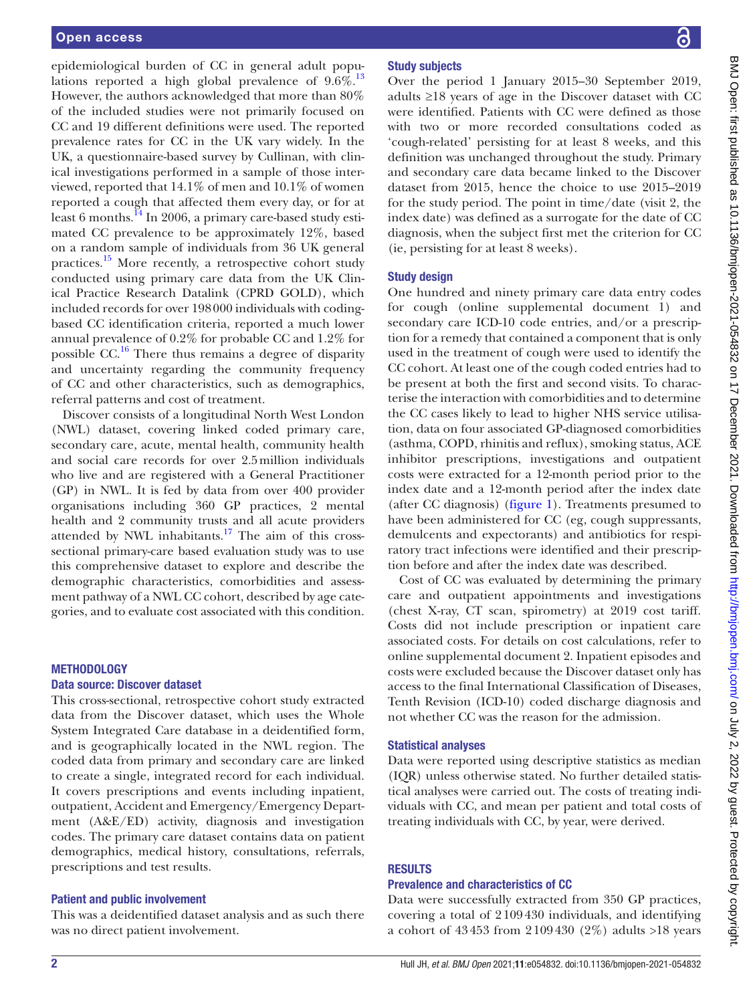epidemiological burden of CC in general adult populations reported a high global prevalence of  $9.6\%$ .<sup>[13](#page-7-9)</sup> However, the authors acknowledged that more than 80% of the included studies were not primarily focused on CC and 19 different definitions were used. The reported prevalence rates for CC in the UK vary widely. In the UK, a questionnaire-based survey by Cullinan, with clinical investigations performed in a sample of those interviewed, reported that 14.1% of men and 10.1% of women reported a cough that affected them every day, or for at least 6 months.<sup>14</sup> In 2006, a primary care-based study estimated CC prevalence to be approximately 12%, based on a random sample of individuals from 36 UK general practices[.15](#page-7-11) More recently, a retrospective cohort study conducted using primary care data from the UK Clinical Practice Research Datalink (CPRD GOLD), which included records for over 198000 individuals with codingbased CC identification criteria, reported a much lower annual prevalence of 0.2% for probable CC and 1.2% for possible  $CC<sup>16</sup>$ . There thus remains a degree of disparity and uncertainty regarding the community frequency of CC and other characteristics, such as demographics, referral patterns and cost of treatment.

Discover consists of a longitudinal North West London (NWL) dataset, covering linked coded primary care, secondary care, acute, mental health, community health and social care records for over 2.5million individuals who live and are registered with a General Practitioner (GP) in NWL. It is fed by data from over 400 provider organisations including 360 GP practices, 2 mental health and 2 community trusts and all acute providers attended by NWL inhabitants.<sup>17</sup> The aim of this crosssectional primary-care based evaluation study was to use this comprehensive dataset to explore and describe the demographic characteristics, comorbidities and assessment pathway of a NWL CC cohort, described by age categories, and to evaluate cost associated with this condition.

# METHODOLOGY

#### Data source: Discover dataset

This cross-sectional, retrospective cohort study extracted data from the Discover dataset, which uses the Whole System Integrated Care database in a deidentified form, and is geographically located in the NWL region. The coded data from primary and secondary care are linked to create a single, integrated record for each individual. It covers prescriptions and events including inpatient, outpatient, Accident and Emergency/Emergency Department (A&E/ED) activity, diagnosis and investigation codes. The primary care dataset contains data on patient demographics, medical history, consultations, referrals, prescriptions and test results.

#### Patient and public involvement

This was a deidentified dataset analysis and as such there was no direct patient involvement.

# Study subjects

Over the period 1 January 2015–30 September 2019, adults ≥18 years of age in the Discover dataset with CC were identified. Patients with CC were defined as those with two or more recorded consultations coded as 'cough-related' persisting for at least 8 weeks, and this definition was unchanged throughout the study. Primary and secondary care data became linked to the Discover dataset from 2015, hence the choice to use 2015–2019 for the study period. The point in time/date (visit 2, the index date) was defined as a surrogate for the date of CC diagnosis, when the subject first met the criterion for CC (ie, persisting for at least 8 weeks).

#### Study design

One hundred and ninety primary care data entry codes for cough [\(online supplemental document 1](https://dx.doi.org/10.1136/bmjopen-2021-054832)) and secondary care ICD-10 code entries, and/or a prescription for a remedy that contained a component that is only used in the treatment of cough were used to identify the CC cohort. At least one of the cough coded entries had to be present at both the first and second visits. To characterise the interaction with comorbidities and to determine the CC cases likely to lead to higher NHS service utilisation, data on four associated GP-diagnosed comorbidities (asthma, COPD, rhinitis and reflux), smoking status, ACE inhibitor prescriptions, investigations and outpatient costs were extracted for a 12-month period prior to the index date and a 12-month period after the index date (after CC diagnosis) [\(figure](#page-2-0) 1). Treatments presumed to have been administered for CC (eg, cough suppressants, demulcents and expectorants) and antibiotics for respiratory tract infections were identified and their prescription before and after the index date was described.

Cost of CC was evaluated by determining the primary care and outpatient appointments and investigations (chest X-ray, CT scan, spirometry) at 2019 cost tariff. Costs did not include prescription or inpatient care associated costs. For details on cost calculations, refer to [online supplemental document 2](https://dx.doi.org/10.1136/bmjopen-2021-054832). Inpatient episodes and costs were excluded because the Discover dataset only has access to the final International Classification of Diseases, Tenth Revision (ICD-10) coded discharge diagnosis and not whether CC was the reason for the admission.

#### Statistical analyses

Data were reported using descriptive statistics as median (IQR) unless otherwise stated. No further detailed statistical analyses were carried out. The costs of treating individuals with CC, and mean per patient and total costs of treating individuals with CC, by year, were derived.

# **RESULTS**

# Prevalence and characteristics of CC

Data were successfully extracted from 350 GP practices, covering a total of 2109430 individuals, and identifying a cohort of 43453 from 2109430 (2%) adults >18 years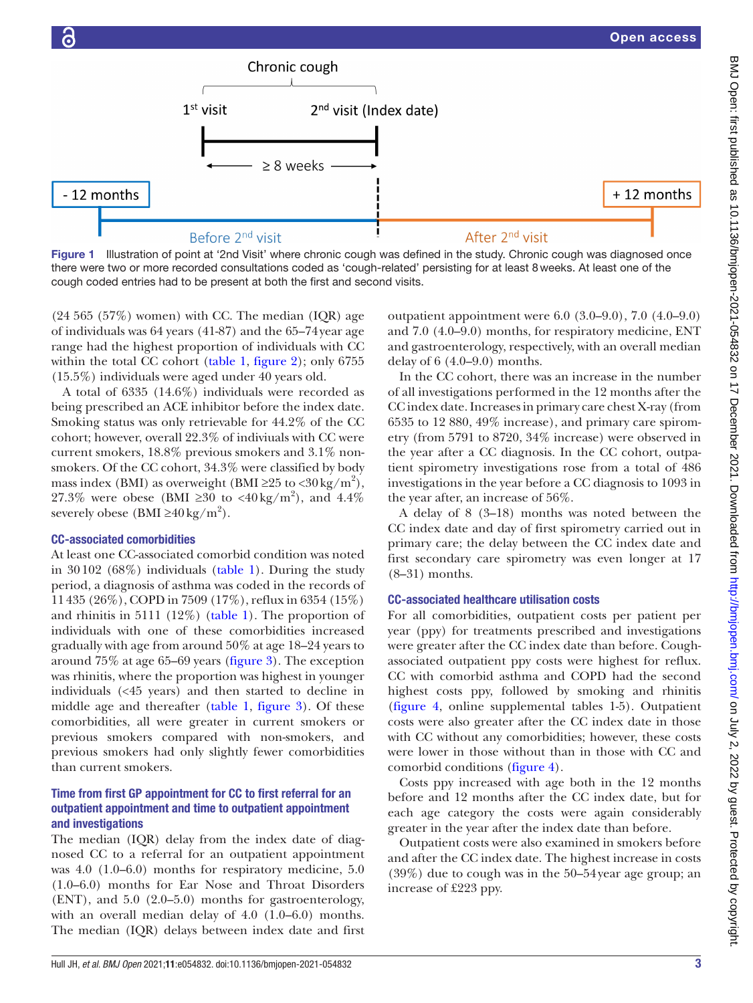

<span id="page-2-0"></span>Figure 1 Illustration of point at '2nd Visit' where chronic cough was defined in the study. Chronic cough was diagnosed once there were two or more recorded consultations coded as 'cough-related' persisting for at least 8weeks. At least one of the cough coded entries had to be present at both the first and second visits.

 $(24 565 (57%)$  women) with CC. The median  $(IQR)$  age of individuals was 64 years (41-87) and the 65–74year age range had the highest proportion of individuals with CC within the total CC cohort [\(table](#page-3-0) 1, [figure](#page-4-0) 2); only 6755 (15.5%) individuals were aged under 40 years old.

A total of 6335 (14.6%) individuals were recorded as being prescribed an ACE inhibitor before the index date. Smoking status was only retrievable for 44.2% of the CC cohort; however, overall 22.3% of indiviuals with CC were current smokers, 18.8% previous smokers and 3.1% nonsmokers. Of the CC cohort, 34.3% were classified by body mass index (BMI) as overweight (BMI ≥25 to <30 kg/m<sup>2</sup>), 27.3% were obese (BMI ≥30 to <40 kg/m<sup>2</sup>), and 4.4% severely obese (BMI ≥40 kg/m<sup>2</sup>).

# CC-associated comorbidities

At least one CC-associated comorbid condition was noted in 30102 (68%) individuals ([table](#page-3-0) 1). During the study period, a diagnosis of asthma was coded in the records of 11435 (26%), COPD in 7509 (17%), reflux in 6354 (15%) and rhinitis in 5111 (12%) ([table](#page-3-0) 1). The proportion of individuals with one of these comorbidities increased gradually with age from around 50% at age 18–24 years to around 75% at age 65–69 years ([figure](#page-4-1) 3). The exception was rhinitis, where the proportion was highest in younger individuals (<45 years) and then started to decline in middle age and thereafter ([table](#page-3-0) 1, [figure](#page-4-1) 3). Of these comorbidities, all were greater in current smokers or previous smokers compared with non-smokers, and previous smokers had only slightly fewer comorbidities than current smokers.

# Time from first GP appointment for CC to first referral for an outpatient appointment and time to outpatient appointment and investigations

The median (IQR) delay from the index date of diagnosed CC to a referral for an outpatient appointment was 4.0 (1.0–6.0) months for respiratory medicine, 5.0 (1.0–6.0) months for Ear Nose and Throat Disorders (ENT), and 5.0 (2.0–5.0) months for gastroenterology, with an overall median delay of 4.0 (1.0–6.0) months. The median (IQR) delays between index date and first

outpatient appointment were 6.0 (3.0–9.0), 7.0 (4.0–9.0) and 7.0 (4.0–9.0) months, for respiratory medicine, ENT and gastroenterology, respectively, with an overall median delay of 6 (4.0–9.0) months.

In the CC cohort, there was an increase in the number of all investigations performed in the 12 months after the CC index date. Increases in primary care chest X-ray (from 6535 to 12 880, 49% increase), and primary care spirometry (from 5791 to 8720, 34% increase) were observed in the year after a CC diagnosis. In the CC cohort, outpatient spirometry investigations rose from a total of 486 investigations in the year before a CC diagnosis to 1093 in the year after, an increase of 56%.

A delay of 8 (3–18) months was noted between the CC index date and day of first spirometry carried out in primary care; the delay between the CC index date and first secondary care spirometry was even longer at 17 (8–31) months.

# CC-associated healthcare utilisation costs

For all comorbidities, outpatient costs per patient per year (ppy) for treatments prescribed and investigations were greater after the CC index date than before. Coughassociated outpatient ppy costs were highest for reflux. CC with comorbid asthma and COPD had the second highest costs ppy, followed by smoking and rhinitis [\(figure](#page-5-0) 4, [online supplemental tables 1-5\)](https://dx.doi.org/10.1136/bmjopen-2021-054832). Outpatient costs were also greater after the CC index date in those with CC without any comorbidities; however, these costs were lower in those without than in those with CC and comorbid conditions [\(figure](#page-5-0) 4).

Costs ppy increased with age both in the 12 months before and 12 months after the CC index date, but for each age category the costs were again considerably greater in the year after the index date than before.

Outpatient costs were also examined in smokers before and after the CC index date. The highest increase in costs (39%) due to cough was in the 50–54year age group; an increase of £223 ppy.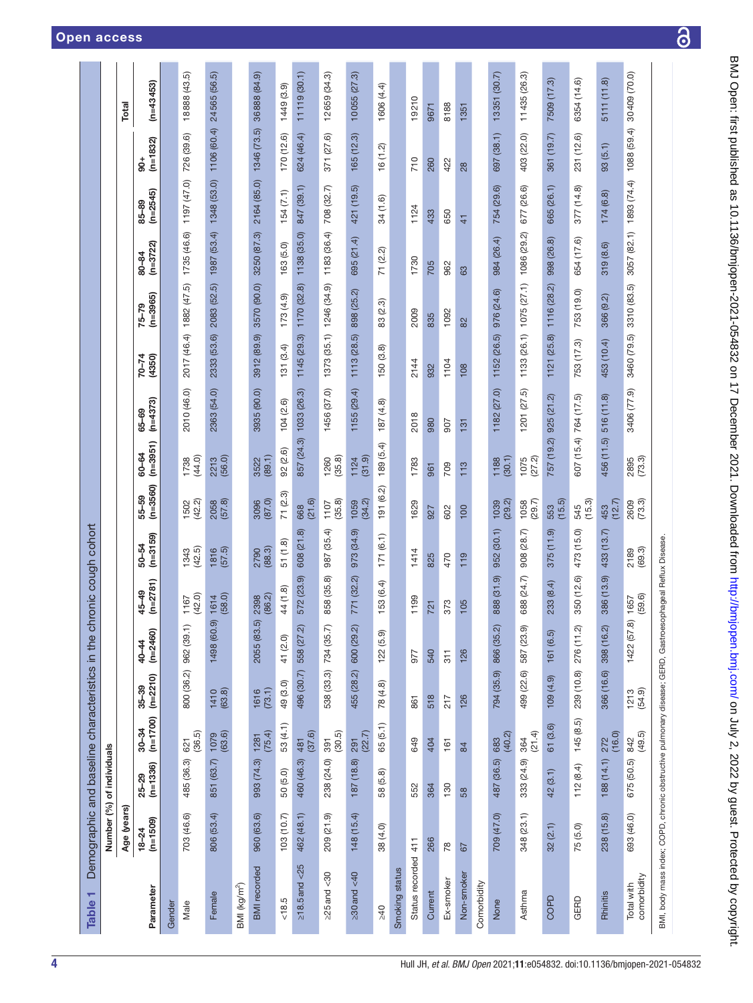<span id="page-3-0"></span>

| ┯<br><b>Table</b>                                                                                         | Demographic and baseline characteristics in the chronic cough cohort |                   |                     |                       |                         |                         |                    |                       |                     |                                  |                |                         |                     |                     |                    |                 |
|-----------------------------------------------------------------------------------------------------------|----------------------------------------------------------------------|-------------------|---------------------|-----------------------|-------------------------|-------------------------|--------------------|-----------------------|---------------------|----------------------------------|----------------|-------------------------|---------------------|---------------------|--------------------|-----------------|
|                                                                                                           | Number (%) of individuals                                            |                   |                     |                       |                         |                         |                    |                       |                     |                                  |                |                         |                     |                     |                    |                 |
|                                                                                                           | Age (years)                                                          |                   |                     |                       |                         |                         |                    |                       |                     |                                  |                |                         |                     |                     |                    | Total           |
| Parameter                                                                                                 | $18-24$<br>(n=1509)                                                  | 25–29<br>(n=1336) | $30-34$<br>(n=1700) | $35 - 39$<br>(n=2210) | $(n=2460)$<br>$40 - 44$ | $(n=2781)$<br>$45 - 49$ | 50–54<br>(n=3159)  | $(n = 3560)$<br>55-59 | $(n=3951)$<br>60-64 | $(n=4373)$<br>65-69              | 70-74<br>H350) | $(n=3965)$<br>$75 - 79$ | $(n=3722)$<br>80-84 | $(n=2545)$<br>85-89 | $(n=1832)$<br>ន្ល់ | $(n=43453)$     |
| Gender                                                                                                    |                                                                      |                   |                     |                       |                         |                         |                    |                       |                     |                                  |                |                         |                     |                     |                    |                 |
| Male                                                                                                      | 703 (46.6)                                                           | 485 (36.3)        | 621<br>(36.5)       | 800 (36.2)            | 962 (39.1)              | (42.0)<br>1167          | $1343$<br>$(42.5)$ | 1502<br>(42.2)        | 1738<br>(44.0)      | 2010 (46.0)                      | 2017 (46.4)    | 1882 (47.5)             | 1735 (46.6)         | 1197 (47.0)         | 726 (39.6)         | (43.5)<br>18888 |
| Female                                                                                                    | 806 (53.4)                                                           | 851 (63.7)        | $1079$<br>$(63.6)$  | $1410$<br>$(63.8)$    | 1498 (60.9)             | 1614<br>(58.0)          | (57.5)             | (57.8)<br>2058        | 2213                | 2363 (54.0)                      | 2333 (53.6)    | 2083 (52.5)             | 1987 (53.4)         | 1348 (53.0)         | 1106 (60.4)        | 24565 (56.5)    |
| BMI (kg/m <sup>2</sup> )                                                                                  |                                                                      |                   |                     |                       |                         |                         |                    |                       |                     |                                  |                |                         |                     |                     |                    |                 |
| <b>BMI</b> recorded                                                                                       | 960 (63.6)                                                           | 993 (74.3)        | (75.4)<br>1281      | (73.1)<br>1616        | 2055 (83.5)             | (86.2)<br>2398          | (88.3)<br>2790     | (87.0)<br>3096        | (89.1)<br>3522      | 3935 (90.0)                      | 3912 (89.9)    | 3570 (90.0)             | 3250 (87.3)         | 2164 (85.0)         | 1346 (73.5)        | 36888 (84.9)    |
| 18.5                                                                                                      | 103(10.7)                                                            | 50 (5.0)          | 53 (4.1)            | 49 (3.0)              | 41 (2.0)                | 44 (1.8)                | 51(1.8)            | 71 (2.3)              | 92 (2.6)            | 104(2.6)                         | 131(3.4)       | 173(4.9)                | 163(5.0)            | 154(7.1)            | 170 (12.6)         | 1449 (3.9)      |
| 5 <sup>2</sup><br>$\geq$ 18.5 and                                                                         | 462 (48.1)                                                           | 460 (46.3)        | (37.6)<br>481       | 496 (30.7)            | 558 (27.2)              | 572 (23.9)              | 608 (21.8)         | (21.6)<br>668         | 857 (24.3)          | 1033 (26.3)                      | 1145 (29.3)    | 1170 (32.8)             | 1138 (35.0)         | 847 (39.1)          | 624 (46.4)         | 11119 (30.1)    |
| $\frac{8}{3}$<br>$\geq$ 25 and                                                                            | 209 (21.9)                                                           | 238 (24.0)        | (30.5)<br>391       | 538 (33.3)            | 734 (35.7)              | 858 (35.8)              | (35.4)<br>987      | (35.8)<br>1107        | (35.8)<br>1260      | 1456 (37.0)                      | 1373 (35.1)    | 1246 (34.9)             | 1183 (36.4)         | 708 (32.7)          | (27.6)<br>371      | 12659 (34.3)    |
| $\geq 30$ and $<40$                                                                                       | 148 (15.4)                                                           | 187 (18.8)        | (22.7)<br>291       | 455 (28.2)            | 600 (29.2)              | 771 (32.2)              | 973 (34.9)         | (34.2)<br>1059        | (31.9)<br>1124      | 1155 (29.4)                      | 1113 (28.5)    | 898 (25.2)              | 695 (21.4)          | 421 (19.5)          | 165 (12.3)         | 10055(27.3)     |
| $>40$                                                                                                     | 38(4.0)                                                              | 58 (5.8)          | 65 (5.1)            | 78 (4.8)              | 122(5.9)                | 153 (6.4)               | (6.1)<br>171       | 191 (6.2)             | 189 (5.4)           | 187 (4.8)                        | 150(3.8)       | 83 (2.3)                | 71 (2.2)            | 34 (1.6)            | 16(1.2)            | 1606 (4.4)      |
| Smoking status                                                                                            |                                                                      |                   |                     |                       |                         |                         |                    |                       |                     |                                  |                |                         |                     |                     |                    |                 |
| Status recorded                                                                                           | 411                                                                  | 552               | 649                 | 861                   | 977                     | 1199                    | 1414               | 1629                  | 1783                | 2018                             | 2144           | 2009                    | 1730                | 1124                | 710                | 19210           |
| Current                                                                                                   | 266                                                                  | 364               | 404                 | 518                   | 540                     | 721                     | 825                | 927                   | 961                 | 980                              | 932            | 835                     | 705                 | 433                 | 260                | 9671            |
| Ex-smoker                                                                                                 | 78                                                                   | 130               | 161                 | 217                   | 311                     | 373                     | 470                | 602                   | 709                 | 506                              | 1104           | 1092                    | 962                 | 650                 | 422                | 8188            |
| Non-smoker                                                                                                | 67                                                                   | 58                | $\overline{a}$      | 126                   | 126                     | 105                     | 119                | 100                   | 113                 | 131                              | $\infty$       | 82                      | 83                  | $\frac{4}{3}$       | 28                 | 1351            |
| Comorbidity                                                                                               |                                                                      |                   |                     |                       |                         |                         |                    |                       |                     |                                  |                |                         |                     |                     |                    |                 |
| None                                                                                                      | 709 (47.0)                                                           | 487 (36.5)        | (40.2)<br>683       | 794 (35.9)            | 866 (35.2)              | 888 (31.9)              | 952 (30.1)         | (29.2)<br>1039        | (30.1)<br>1188      | 1182 (27.0)                      | 1152 (26.5)    | 976 (24.6)              | 984 (26.4)          | 754 (29.6)          | 697 (38.1)         | 13351 (30.7)    |
| Asthma                                                                                                    | 348 (23.1)                                                           | 333 (24.9)        | (21.4)<br>364       | 499 (22.6)            | 587 (23.9)              | 388 (24.7)              | (28.7)<br>908      | (29.7)<br>1058        | $1075$<br>(27.2)    | (27.5)<br><b>201</b>             | 1133 (26.1)    | 1075(27.1)              | 1086 (29.2)         | 677 (26.6)          | (22.0)<br>403      | 11435 (26.3)    |
| COPD                                                                                                      | 32(2.1)                                                              | 42 (3.1)          | 61 (3.6)            | $(6.4)$ 001           | (6.5)<br>161            | 233 (8.4)               | (11.9)<br>375      | (15.5)<br>553         | 757 (19.2)          | $\widetilde{\omega}$<br>925 (21. | (25.8)<br>1121 | 1116 (28.2)             | (26.8)<br>998       | 665 (26.1)          | (19.7)<br>361      | 7509 (17.3)     |
| GERD                                                                                                      | 75(5.0)                                                              | 112(8.4)          | 145(8.5)            | 239 (10.8)            | 276 (11.2)              | 350 (12.6)              | 473 (15.0)         | (15.3)<br>545         | 607 (15.4)          | 764 (17.5)                       | 753 (17.3)     | 753 (19.0)              | 654 (17.6)          | 377 (14.8)          | 231 (12.6)         | 6354 (14.6)     |
| Rhinitis                                                                                                  | 238 (15.8)                                                           | 188 (14.1)        | (16.0)<br>272       | 366 (16.6)            | 398 (16.2)              | 386 (13.9)              | 433 (13.7)         | (12.7)<br>453         | 456 (11.5)          | 516 (11.8)                       | 453 (10.4)     | 366 (9.2)               | 319 (8.6)           | 174(6.8)            | 93(5.1)            | 5111 (11.8)     |
| comorbidity<br>Total with                                                                                 | 693 (46.0)                                                           | 675 (50.5)        | (49.5)<br>842       | $1213$<br>$(54.9)$    | 1422 (57.8)             | (59.6)<br>1657          | (69.3)<br>2189     | (73.3)<br>2609        | (73.3)<br>2895      | 3406 (77.9)                      | 3460 (79.5)    | 3310 (83.5)             | 3057 (82.1)         | 1893 (74.4)         | 1088 (59.4)        | 30409 (70.0)    |
| BMI, body mass index; COPD, chronic obstructive pulmonary disease; GERD, Gastroesophageal Reflux Disease. |                                                                      |                   |                     |                       |                         |                         |                    |                       |                     |                                  |                |                         |                     |                     |                    |                 |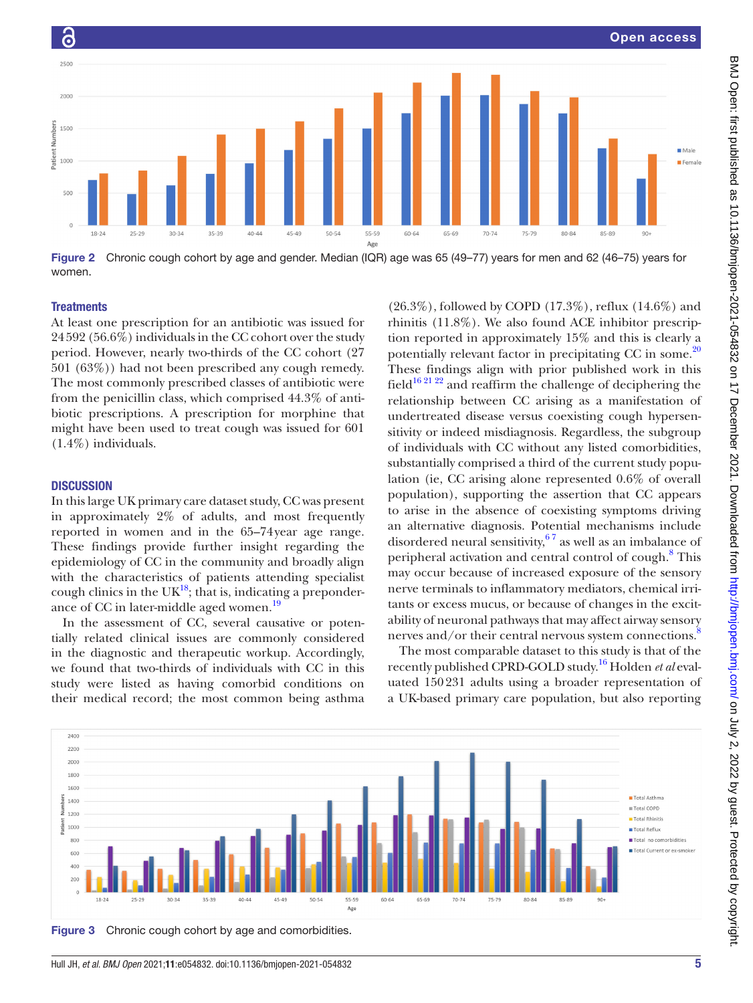

<span id="page-4-0"></span>Figure 2 Chronic cough cohort by age and gender. Median (IQR) age was 65 (49–77) years for men and 62 (46–75) years for women.

#### **Treatments**

 $\overline{G}$ 

At least one prescription for an antibiotic was issued for 24592 (56.6%) individuals in the CC cohort over the study period. However, nearly two-thirds of the CC cohort (27 501 (63%)) had not been prescribed any cough remedy. The most commonly prescribed classes of antibiotic were from the penicillin class, which comprised 44.3% of antibiotic prescriptions. A prescription for morphine that might have been used to treat cough was issued for 601 (1.4%) individuals.

# **DISCUSSION**

In this large UK primary care dataset study, CC was present in approximately 2% of adults, and most frequently reported in women and in the 65–74year age range. These findings provide further insight regarding the epidemiology of CC in the community and broadly align with the characteristics of patients attending specialist cough clinics in the  $UK^{18}$ ; that is, indicating a preponderance of CC in later-middle aged women.<sup>19</sup>

In the assessment of CC, several causative or potentially related clinical issues are commonly considered in the diagnostic and therapeutic workup. Accordingly, we found that two-thirds of individuals with CC in this study were listed as having comorbid conditions on their medical record; the most common being asthma

(26.3%), followed by COPD (17.3%), reflux (14.6%) and rhinitis (11.8%). We also found ACE inhibitor prescription reported in approximately 15% and this is clearly a potentially relevant factor in precipitating CC in some. $^{20}$  $^{20}$  $^{20}$ These findings align with prior published work in this field<sup>16 21 22</sup> and reaffirm the challenge of deciphering the relationship between CC arising as a manifestation of undertreated disease versus coexisting cough hypersensitivity or indeed misdiagnosis. Regardless, the subgroup of individuals with CC without any listed comorbidities, substantially comprised a third of the current study population (ie, CC arising alone represented 0.6% of overall population), supporting the assertion that CC appears to arise in the absence of coexisting symptoms driving an alternative diagnosis. Potential mechanisms include disordered neural sensitivity,  $67$  as well as an imbalance of peripheral activation and central control of cough.<sup>[8](#page-7-5)</sup> This may occur because of increased exposure of the sensory nerve terminals to inflammatory mediators, chemical irritants or excess mucus, or because of changes in the excitability of neuronal pathways that may affect airway sensory nerves and/or their central nervous system connections.<sup>8</sup>

The most comparable dataset to this study is that of the recently published CPRD-GOLD study. [16](#page-7-12) Holden *et al* evaluated 150231 adults using a broader representation of a UK-based primary care population, but also reporting



<span id="page-4-1"></span>Figure 3 Chronic cough cohort by age and comorbidities.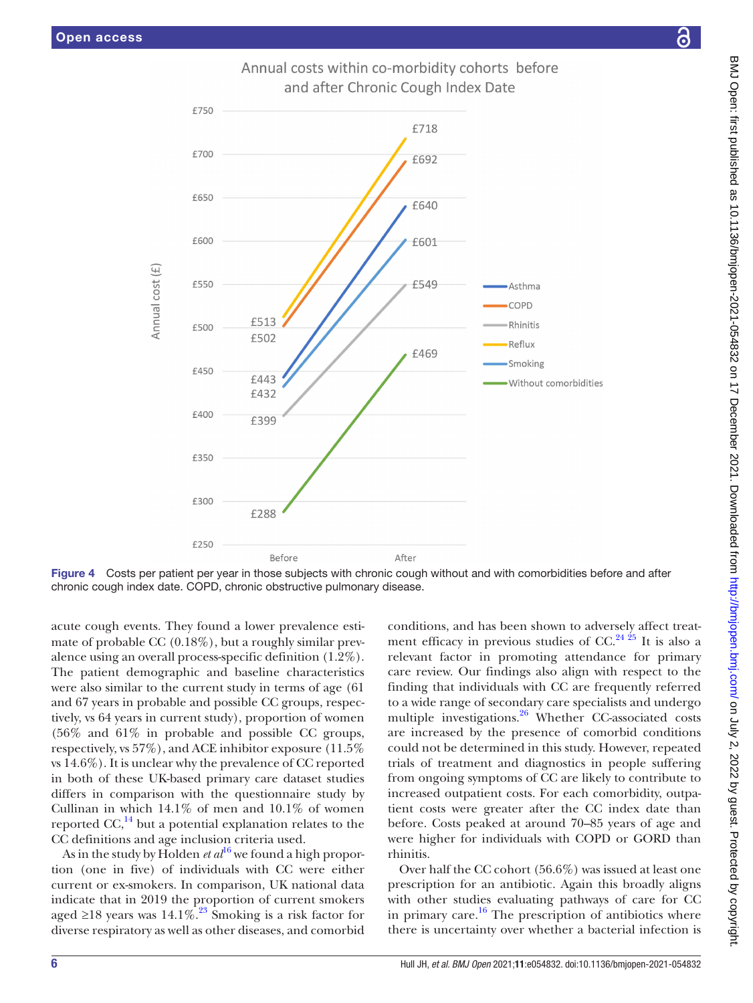Annual cost (£)



Annual costs within co-morbidity cohorts before and after Chronic Cough Index Date

Figure 4 Costs per patient per year in those subjects with chronic cough without and with comorbidities before and after chronic cough index date. COPD, chronic obstructive pulmonary disease.

After

<span id="page-5-0"></span>Before

acute cough events. They found a lower prevalence estimate of probable CC  $(0.18\%)$ , but a roughly similar prevalence using an overall process-specific definition (1.2%). The patient demographic and baseline characteristics were also similar to the current study in terms of age (61 and 67 years in probable and possible CC groups, respectively, vs 64 years in current study), proportion of women (56% and 61% in probable and possible CC groups, respectively, vs 57%), and ACE inhibitor exposure (11.5% vs 14.6%). It is unclear why the prevalence of CC reported in both of these UK-based primary care dataset studies differs in comparison with the questionnaire study by Cullinan in which  $14.1\%$  of men and  $10.1\%$  of women reported  $CC<sub>14</sub><sup>14</sup>$  but a potential explanation relates to the CC definitions and age inclusion criteria used.

£250

As in the study by Holden *et*  $al^{16}$  $al^{16}$  $al^{16}$  we found a high proportion (one in five) of individuals with CC were either current or ex-smokers. In comparison, UK national data indicate that in 2019 the proportion of current smokers aged ≥18 years was 14.1%.<sup>[23](#page-7-17)</sup> Smoking is a risk factor for diverse respiratory as well as other diseases, and comorbid

conditions, and has been shown to adversely affect treatment efficacy in previous studies of CC.<sup>24 25</sup> It is also a relevant factor in promoting attendance for primary care review. Our findings also align with respect to the finding that individuals with CC are frequently referred to a wide range of secondary care specialists and undergo multiple investigations.<sup>[26](#page-7-19)</sup> Whether CC-associated costs are increased by the presence of comorbid conditions could not be determined in this study. However, repeated trials of treatment and diagnostics in people suffering from ongoing symptoms of CC are likely to contribute to increased outpatient costs. For each comorbidity, outpatient costs were greater after the CC index date than before. Costs peaked at around 70–85 years of age and were higher for individuals with COPD or GORD than rhinitis.

Over half the CC cohort (56.6%) was issued at least one prescription for an antibiotic. Again this broadly aligns with other studies evaluating pathways of care for CC in primary care. $16$  The prescription of antibiotics where there is uncertainty over whether a bacterial infection is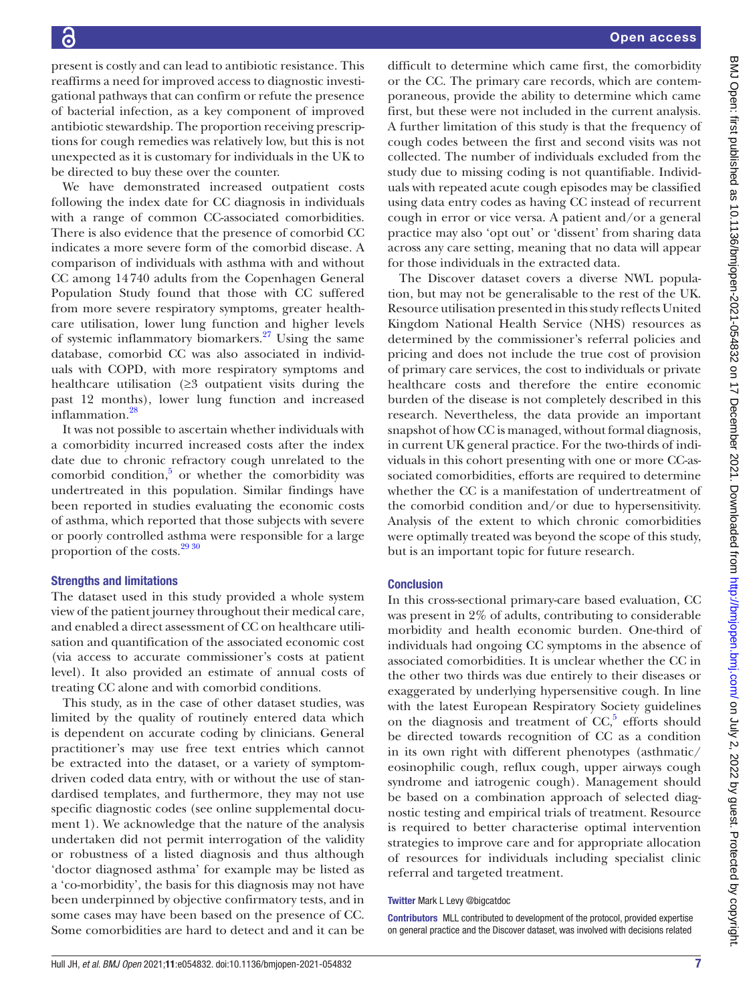present is costly and can lead to antibiotic resistance. This reaffirms a need for improved access to diagnostic investigational pathways that can confirm or refute the presence of bacterial infection, as a key component of improved antibiotic stewardship. The proportion receiving prescriptions for cough remedies was relatively low, but this is not unexpected as it is customary for individuals in the UK to be directed to buy these over the counter.

We have demonstrated increased outpatient costs following the index date for CC diagnosis in individuals with a range of common CC-associated comorbidities. There is also evidence that the presence of comorbid CC indicates a more severe form of the comorbid disease. A comparison of individuals with asthma with and without CC among 14740 adults from the Copenhagen General Population Study found that those with CC suffered from more severe respiratory symptoms, greater healthcare utilisation, lower lung function and higher levels of systemic inflammatory biomarkers. $27$  Using the same database, comorbid CC was also associated in individuals with COPD, with more respiratory symptoms and healthcare utilisation (≥3 outpatient visits during the past 12 months), lower lung function and increased inflammation.<sup>28</sup>

It was not possible to ascertain whether individuals with a comorbidity incurred increased costs after the index date due to chronic refractory cough unrelated to the comorbid condition, $5$  or whether the comorbidity was undertreated in this population. Similar findings have been reported in studies evaluating the economic costs of asthma, which reported that those subjects with severe or poorly controlled asthma were responsible for a large proportion of the costs.<sup>[29 30](#page-7-22)</sup>

# Strengths and limitations

The dataset used in this study provided a whole system view of the patient journey throughout their medical care, and enabled a direct assessment of CC on healthcare utilisation and quantification of the associated economic cost (via access to accurate commissioner's costs at patient level). It also provided an estimate of annual costs of treating CC alone and with comorbid conditions.

This study, as in the case of other dataset studies, was limited by the quality of routinely entered data which is dependent on accurate coding by clinicians. General practitioner's may use free text entries which cannot be extracted into the dataset, or a variety of symptomdriven coded data entry, with or without the use of standardised templates, and furthermore, they may not use specific diagnostic codes (see [online supplemental docu](https://dx.doi.org/10.1136/bmjopen-2021-054832)[ment 1\)](https://dx.doi.org/10.1136/bmjopen-2021-054832). We acknowledge that the nature of the analysis undertaken did not permit interrogation of the validity or robustness of a listed diagnosis and thus although 'doctor diagnosed asthma' for example may be listed as a 'co-morbidity', the basis for this diagnosis may not have been underpinned by objective confirmatory tests, and in some cases may have been based on the presence of CC. Some comorbidities are hard to detect and and it can be

difficult to determine which came first, the comorbidity or the CC. The primary care records, which are contemporaneous, provide the ability to determine which came first, but these were not included in the current analysis. A further limitation of this study is that the frequency of cough codes between the first and second visits was not collected. The number of individuals excluded from the study due to missing coding is not quantifiable. Individuals with repeated acute cough episodes may be classified using data entry codes as having CC instead of recurrent cough in error or vice versa. A patient and/or a general practice may also 'opt out' or 'dissent' from sharing data across any care setting, meaning that no data will appear for those individuals in the extracted data.

The Discover dataset covers a diverse NWL population, but may not be generalisable to the rest of the UK. Resource utilisation presented in this study reflects United Kingdom National Health Service (NHS) resources as determined by the commissioner's referral policies and pricing and does not include the true cost of provision of primary care services, the cost to individuals or private healthcare costs and therefore the entire economic burden of the disease is not completely described in this research. Nevertheless, the data provide an important snapshot of how CC is managed, without formal diagnosis, in current UK general practice. For the two-thirds of individuals in this cohort presenting with one or more CC-associated comorbidities, efforts are required to determine whether the CC is a manifestation of undertreatment of the comorbid condition and/or due to hypersensitivity. Analysis of the extent to which chronic comorbidities were optimally treated was beyond the scope of this study, but is an important topic for future research.

#### **Conclusion**

In this cross-sectional primary-care based evaluation, CC was present in 2% of adults, contributing to considerable morbidity and health economic burden. One-third of individuals had ongoing CC symptoms in the absence of associated comorbidities. It is unclear whether the CC in the other two thirds was due entirely to their diseases or exaggerated by underlying hypersensitive cough. In line with the latest European Respiratory Society guidelines on the diagnosis and treatment of  $CC$ ,<sup>[5](#page-7-3)</sup> efforts should be directed towards recognition of CC as a condition in its own right with different phenotypes (asthmatic/ eosinophilic cough, reflux cough, upper airways cough syndrome and iatrogenic cough). Management should be based on a combination approach of selected diagnostic testing and empirical trials of treatment. Resource is required to better characterise optimal intervention strategies to improve care and for appropriate allocation of resources for individuals including specialist clinic referral and targeted treatment.

#### Twitter Mark L Levy [@bigcatdoc](https://twitter.com/bigcatdoc)

Contributors MLL contributed to development of the protocol, provided expertise on general practice and the Discover dataset, was involved with decisions related